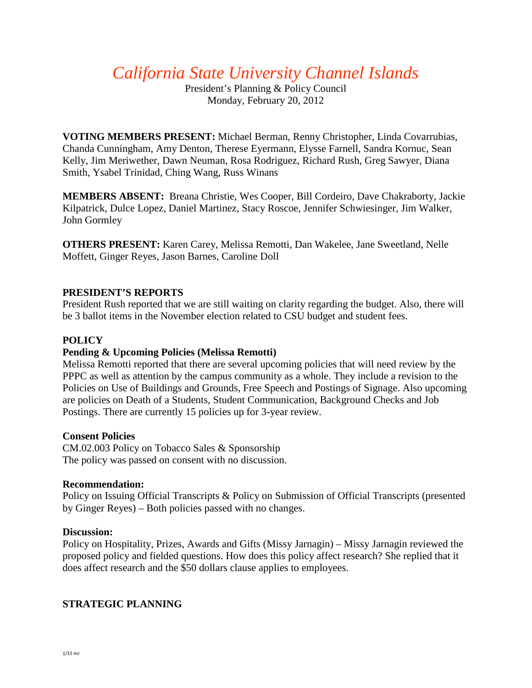*California State University Channel Islands*

President's Planning & Policy Council Monday, February 20, 2012

**VOTING MEMBERS PRESENT:** Michael Berman, Renny Christopher, Linda Covarrubias, Chanda Cunningham, Amy Denton, Therese Eyermann, Elysse Farnell, Sandra Kornuc, Sean Kelly, Jim Meriwether, Dawn Neuman, Rosa Rodriguez, Richard Rush, Greg Sawyer, Diana Smith, Ysabel Trinidad, Ching Wang, Russ Winans

**MEMBERS ABSENT:** Breana Christie, Wes Cooper, Bill Cordeiro, Dave Chakraborty, Jackie Kilpatrick, Dulce Lopez, Daniel Martinez, Stacy Roscoe, Jennifer Schwiesinger, Jim Walker, John Gormley

**OTHERS PRESENT:** Karen Carey, Melissa Remotti, Dan Wakelee, Jane Sweetland, Nelle Moffett, Ginger Reyes, Jason Barnes, Caroline Doll

### **PRESIDENT'S REPORTS**

President Rush reported that we are still waiting on clarity regarding the budget. Also, there will be 3 ballot items in the November election related to CSU budget and student fees.

# **POLICY**

# **Pending & Upcoming Policies (Melissa Remotti)**

Melissa Remotti reported that there are several upcoming policies that will need review by the PPPC as well as attention by the campus community as a whole. They include a revision to the Policies on Use of Buildings and Grounds, Free Speech and Postings of Signage. Also upcoming are policies on Death of a Students, Student Communication, Background Checks and Job Postings. There are currently 15 policies up for 3-year review.

#### **Consent Policies**

CM.02.003 Policy on Tobacco Sales & Sponsorship The policy was passed on consent with no discussion.

#### **Recommendation:**

Policy on Issuing Official Transcripts & Policy on Submission of Official Transcripts (presented by Ginger Reyes) – Both policies passed with no changes.

#### **Discussion:**

Policy on Hospitality, Prizes, Awards and Gifts (Missy Jarnagin) – Missy Jarnagin reviewed the proposed policy and fielded questions. How does this policy affect research? She replied that it does affect research and the \$50 dollars clause applies to employees.

# **STRATEGIC PLANNING**